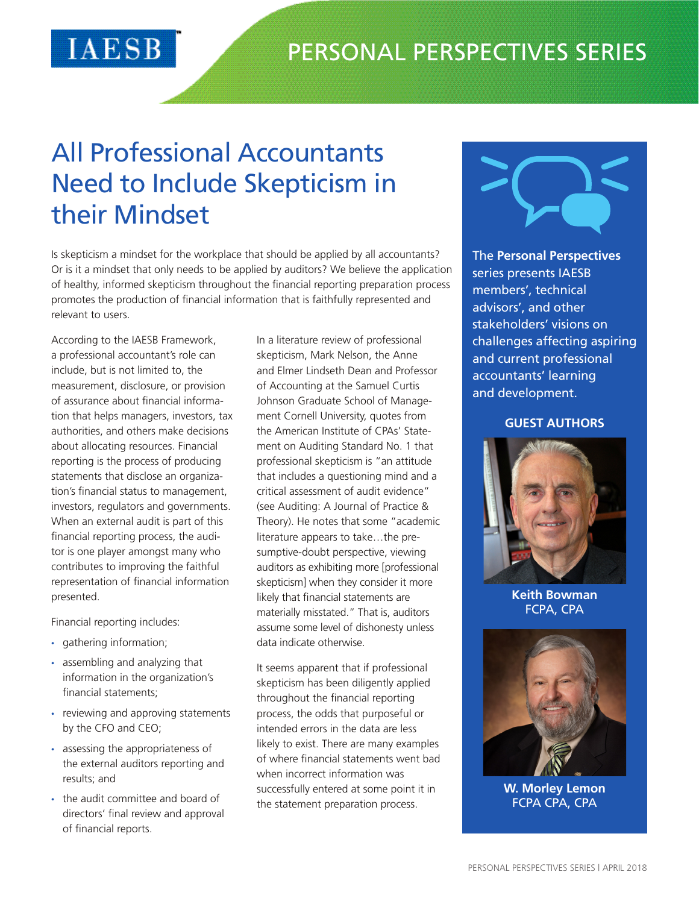## All Professional Accountants Need to Include Skepticism in their Mindset

Is skepticism a mindset for the workplace that should be applied by all accountants? Or is it a mindset that only needs to be applied by auditors? We believe the application of healthy, informed skepticism throughout the financial reporting preparation process promotes the production of financial information that is faithfully represented and relevant to users.

According to the IAESB Framework, a professional accountant's role can include, but is not limited to, the measurement, disclosure, or provision of assurance about financial information that helps managers, investors, tax authorities, and others make decisions about allocating resources. Financial reporting is the process of producing statements that disclose an organization's financial status to management, investors, regulators and governments. When an external audit is part of this financial reporting process, the auditor is one player amongst many who contributes to improving the faithful representation of financial information presented.

IAESB

Financial reporting includes:

- gathering information;
- assembling and analyzing that information in the organization's financial statements;
- reviewing and approving statements by the CFO and CEO;
- assessing the appropriateness of the external auditors reporting and results; and
- the audit committee and board of directors' final review and approval of financial reports.

In a literature review of professional skepticism, Mark Nelson, the Anne and Elmer Lindseth Dean and Professor of Accounting at the Samuel Curtis Johnson Graduate School of Management Cornell University, quotes from the American Institute of CPAs' Statement on Auditing Standard No. 1 that professional skepticism is "an attitude that includes a questioning mind and a critical assessment of audit evidence" (see Auditing: A Journal of Practice & Theory). He notes that some "academic literature appears to take…the presumptive-doubt perspective, viewing auditors as exhibiting more [professional skepticism] when they consider it more likely that financial statements are materially misstated." That is, auditors assume some level of dishonesty unless data indicate otherwise.

It seems apparent that if professional skepticism has been diligently applied throughout the financial reporting process, the odds that purposeful or intended errors in the data are less likely to exist. There are many examples of where financial statements went bad when incorrect information was successfully entered at some point it in the statement preparation process.



The **Personal Perspectives** series presents IAESB members', technical advisors', and other stakeholders' visions on challenges affecting aspiring and current professional accountants' learning and development.

## **GUEST AUTHORS**



**Keith Bowman** FCPA, CPA



**W. Morley Lemon** FCPA CPA, CPA